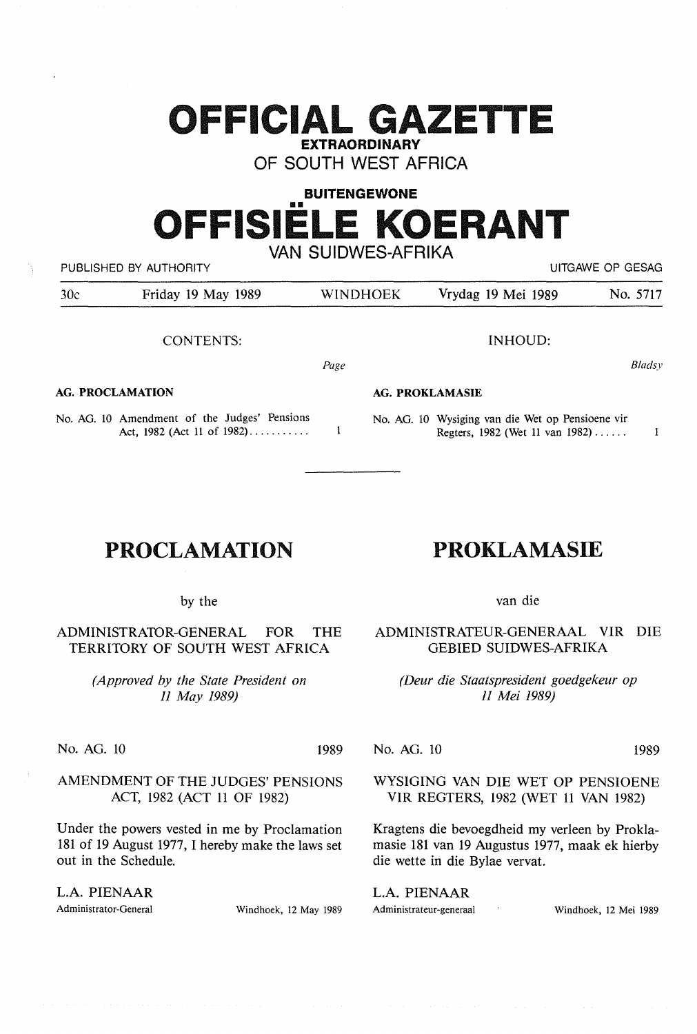## **OFFICIAL GAZETTE EXTRAORDINARY**

OF SOUTH WEST AFRICA

# **BUITENGEWONE OFFISIELE KOERANT**

VAN SUIDWES-AFRIKA PUBLISHED BY AUTHORITY **EXAMPLE AUTHORITY CONTACT ACCOUNT ASSAULT** AND RESAGE OP GESAGE OF GESAGE OF GESAGE OF GESAGE OF GESAGE OF GESAGE OF GESAGE OF GESAGE OF GESAGE OF GESAGE OF GESAGE OF GESAGE OF GESAGE OF GESAGE OF

Page

 $\mathbf{I}$ 

| 30c | Friday 19 May 1989 | <b>WINDHOEK</b> | Vrydag 19 Mei 1989 | No. 5717 |
|-----|--------------------|-----------------|--------------------|----------|
|     |                    |                 |                    |          |

CONTENTS:

#### **AG. PROCLAMATION**

No. AG. 10 Amendment of the Judges' Pensions Act, 1982 (Act 11 of 1982)...........

### **PROCLAMATION**

by the

ADMINISTRA10R-GENERAL FOR THE TERRITORY OF SOUTH WEST AFRICA

> *(Approved by the State President on 11 May 1989)*

No. AG. 10 1989

*)* 

AMENDMENT OF THE JUDGES' PENSIONS ACT, 1982 (ACT 11 OF 1982)

Under the powers vested in me by Proclamation 181 of 19 August 1977, I hereby make the laws set out in the Schedule.

L.A. PIENAAR

Administrator-General Windhoek, 12 May 1989

**AG. PROKLAMASIE** 

No. AG. 10 Wysiging van die Wet op Pensioene vir Regters, 1982 (Wet 11 van 1982) ..... .

INHOUD:

### van die

**PROKLAMASIE** 

ADMINISTRATEUR-GENERAAL VIR DIE GEBIED SUIDWES-AFRIKA

*(Deur die Staatspresident goedgekeur op 11 Mei 1989)* 

No. AG. 10 1989

WYSIGING VAN DIE WET OP PENSIOENE VIR REGTERS, 1982 (WET 11 VAN 1982)

Kragtens die bevoegdheid my verleen by Proklamasie 181 van 19 Augustus 1977, maak ek hierby die wette in die Bylae vervat.

L.A. PIENAAR Administrateur-generaal Windhoek, 12 Mei 1989

*Bladsy* 

 $\mathbf{1}$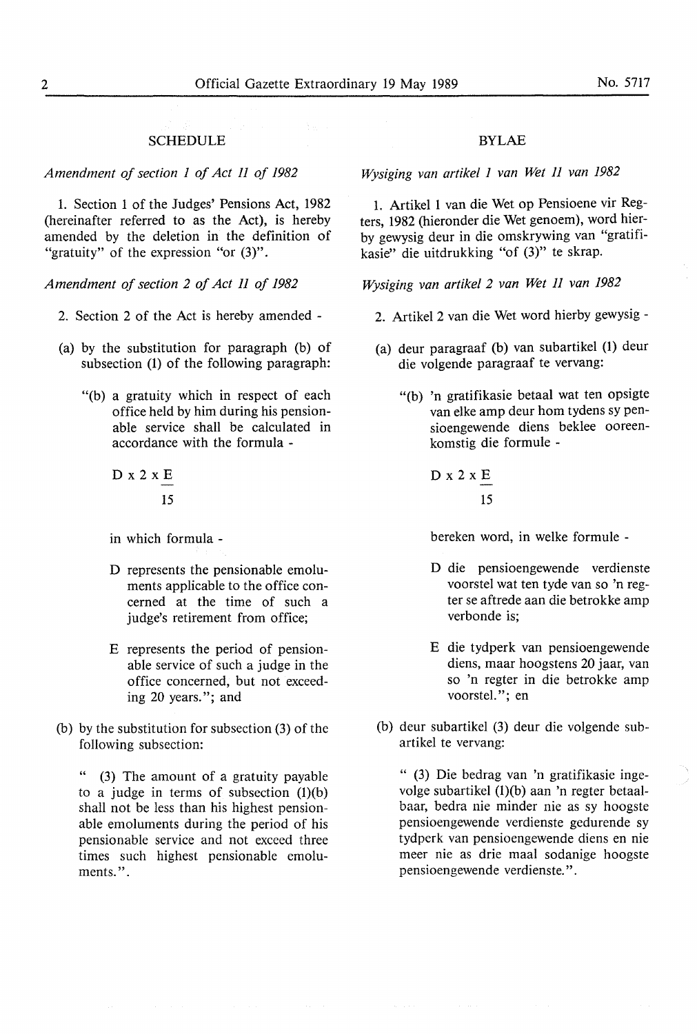#### **SCHEDULE**

*Amendment of section 1 of Act 11 of 1982* 

1. Section 1 of the Judges' Pensions Act, 1982 (hereinafter referred to as the Act), is hereby amended by the deletion in the definition of "gratuity" of the expression "or  $(3)$ ".

*Amendment of section 2 of Act II of 1982* 

- 2. Section 2 of the Act is hereby amended -
- (a) by the substitution for paragraph (b) of subsection (1) of the following paragraph:
	- **"(b)** a gratuity which in **respect** of **each**  office **held by** him **during** his pensionable service shall be calculated in accordance with the formula -

D x 2 **x E**  15

in which formula -

- D represents the pensionable emoluments applicable to the office concerned at the time of such a judge's retirement **from** office;
- E represents the period of pensionable service of such a judge in the office concerned, but not exceeding 20 years."; and
- (b) by the substitution for subsection (3) of the following subsection:

" (3) The amount of a gratuity payable to a judge in terms of subsection  $(l)(b)$ shall not be less than his highest pensionable emoluments during the period of his pensionable service and not exceed three times **such** highest pensionable emoluments.".

### BYLAE

*Wysiging van artikel 1 van Wet 11 van 1982* 

1. Artikel 1 van die Wet op Pensioene vir Regters, 1982 (hieronder die Wet genoem), word hierby gewysig deur in die omskrywing van "gratifikasie" die uitdrukking "of (3)" te skrap.

*Wysiging van artikel 2 van Wet II van 1982* 

- 2. Artikel 2 van die Wet word hierby gewysig -
- (a) deur paragraaf (b) van subartikel (1) deur die volgende paragraaf te vervang:
	- "(b) 'n gratifikasie betaal wat ten opsigte van elke amp deur **horn** tydens sy **pen**sioengewende diens beklee ooreenkomstig die formule -

$$
D \times 2 \times \frac{E}{15}
$$

bereken word, in **welke** formule -

- D die pensioengewende verdienste voorstel wat ten tyde van so 'n regter se aftrede aan die betrokke amp verbonde is;
- E die tydperk van pensioengewende diens, maar hoogstens 20 jaar, van so 'n regter in die betrokke amp voorstel."; en
- (b) deur subartikel (3) deur die volgende subartikel te vervang:

" (3) Die bedrag van 'n gratifikasie ingevolge subartikel (1)(b) aan 'n regter betaalbaar, bedra nie minder nie as sy hoogste pensioengewende verdienste gedurende sy tydperk van pensioengewende diens en nie meer nie as drie maal sodanige hoogste pensioengewende verdienste.".